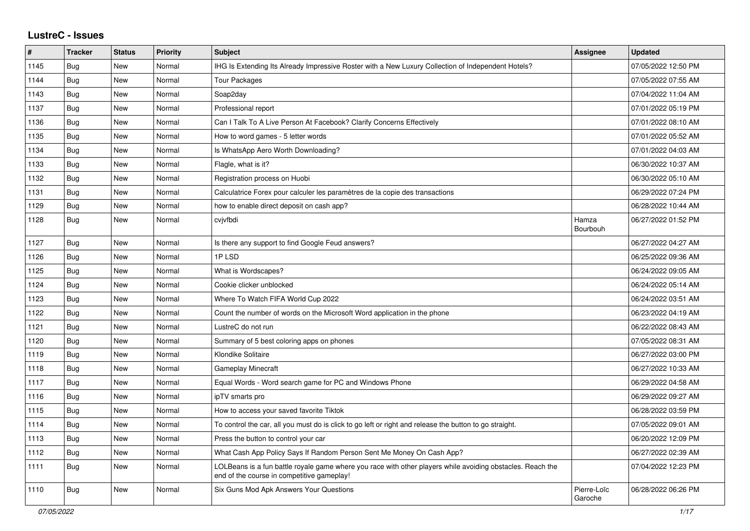## **LustreC - Issues**

| ∦    | <b>Tracker</b> | <b>Status</b> | <b>Priority</b> | <b>Subject</b>                                                                                                                                           | <b>Assignee</b>        | <b>Updated</b>      |
|------|----------------|---------------|-----------------|----------------------------------------------------------------------------------------------------------------------------------------------------------|------------------------|---------------------|
| 1145 | Bug            | New           | Normal          | IHG Is Extending Its Already Impressive Roster with a New Luxury Collection of Independent Hotels?                                                       |                        | 07/05/2022 12:50 PM |
| 1144 | Bug            | <b>New</b>    | Normal          | Tour Packages                                                                                                                                            |                        | 07/05/2022 07:55 AM |
| 1143 | <b>Bug</b>     | <b>New</b>    | Normal          | Soap2day                                                                                                                                                 |                        | 07/04/2022 11:04 AM |
| 1137 | Bug            | New           | Normal          | Professional report                                                                                                                                      |                        | 07/01/2022 05:19 PM |
| 1136 | Bug            | New           | Normal          | Can I Talk To A Live Person At Facebook? Clarify Concerns Effectively                                                                                    |                        | 07/01/2022 08:10 AM |
| 1135 | <b>Bug</b>     | New           | Normal          | How to word games - 5 letter words                                                                                                                       |                        | 07/01/2022 05:52 AM |
| 1134 | <b>Bug</b>     | New           | Normal          | Is WhatsApp Aero Worth Downloading?                                                                                                                      |                        | 07/01/2022 04:03 AM |
| 1133 | <b>Bug</b>     | <b>New</b>    | Normal          | Flagle, what is it?                                                                                                                                      |                        | 06/30/2022 10:37 AM |
| 1132 | <b>Bug</b>     | <b>New</b>    | Normal          | Registration process on Huobi                                                                                                                            |                        | 06/30/2022 05:10 AM |
| 1131 | Bug            | New           | Normal          | Calculatrice Forex pour calculer les paramètres de la copie des transactions                                                                             |                        | 06/29/2022 07:24 PM |
| 1129 | Bug            | New           | Normal          | how to enable direct deposit on cash app?                                                                                                                |                        | 06/28/2022 10:44 AM |
| 1128 | Bug            | New           | Normal          | cvjvfbdi                                                                                                                                                 | Hamza<br>Bourbouh      | 06/27/2022 01:52 PM |
| 1127 | Bug            | New           | Normal          | Is there any support to find Google Feud answers?                                                                                                        |                        | 06/27/2022 04:27 AM |
| 1126 | Bug            | New           | Normal          | 1PLSD                                                                                                                                                    |                        | 06/25/2022 09:36 AM |
| 1125 | Bug            | <b>New</b>    | Normal          | What is Wordscapes?                                                                                                                                      |                        | 06/24/2022 09:05 AM |
| 1124 | Bug            | New           | Normal          | Cookie clicker unblocked                                                                                                                                 |                        | 06/24/2022 05:14 AM |
| 1123 | <b>Bug</b>     | <b>New</b>    | Normal          | Where To Watch FIFA World Cup 2022                                                                                                                       |                        | 06/24/2022 03:51 AM |
| 1122 | <b>Bug</b>     | New           | Normal          | Count the number of words on the Microsoft Word application in the phone                                                                                 |                        | 06/23/2022 04:19 AM |
| 1121 | Bug            | <b>New</b>    | Normal          | LustreC do not run                                                                                                                                       |                        | 06/22/2022 08:43 AM |
| 1120 | Bug            | New           | Normal          | Summary of 5 best coloring apps on phones                                                                                                                |                        | 07/05/2022 08:31 AM |
| 1119 | <b>Bug</b>     | <b>New</b>    | Normal          | Klondike Solitaire                                                                                                                                       |                        | 06/27/2022 03:00 PM |
| 1118 | Bug            | New           | Normal          | Gameplay Minecraft                                                                                                                                       |                        | 06/27/2022 10:33 AM |
| 1117 | Bug            | New           | Normal          | Equal Words - Word search game for PC and Windows Phone                                                                                                  |                        | 06/29/2022 04:58 AM |
| 1116 | Bug            | <b>New</b>    | Normal          | ipTV smarts pro                                                                                                                                          |                        | 06/29/2022 09:27 AM |
| 1115 | Bug            | New           | Normal          | How to access your saved favorite Tiktok                                                                                                                 |                        | 06/28/2022 03:59 PM |
| 1114 | <b>Bug</b>     | <b>New</b>    | Normal          | To control the car, all you must do is click to go left or right and release the button to go straight.                                                  |                        | 07/05/2022 09:01 AM |
| 1113 | <b>Bug</b>     | <b>New</b>    | Normal          | Press the button to control your car                                                                                                                     |                        | 06/20/2022 12:09 PM |
| 1112 | <b>Bug</b>     | New           | Normal          | What Cash App Policy Says If Random Person Sent Me Money On Cash App?                                                                                    |                        | 06/27/2022 02:39 AM |
| 1111 | Bug            | New           | Normal          | LOLBeans is a fun battle royale game where you race with other players while avoiding obstacles. Reach the<br>end of the course in competitive gameplay! |                        | 07/04/2022 12:23 PM |
| 1110 | Bug            | New           | Normal          | Six Guns Mod Apk Answers Your Questions                                                                                                                  | Pierre-Loïc<br>Garoche | 06/28/2022 06:26 PM |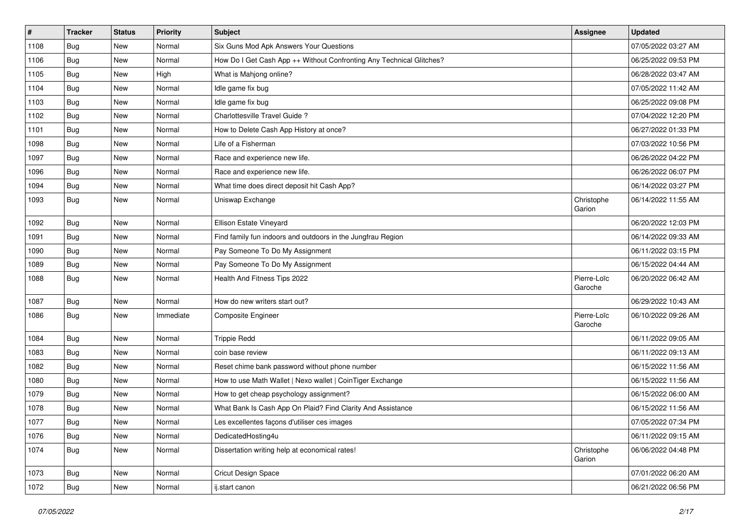| $\sharp$ | <b>Tracker</b> | <b>Status</b> | <b>Priority</b> | <b>Subject</b>                                                       | <b>Assignee</b>        | <b>Updated</b>      |
|----------|----------------|---------------|-----------------|----------------------------------------------------------------------|------------------------|---------------------|
| 1108     | <b>Bug</b>     | New           | Normal          | Six Guns Mod Apk Answers Your Questions                              |                        | 07/05/2022 03:27 AM |
| 1106     | <b>Bug</b>     | New           | Normal          | How Do I Get Cash App ++ Without Confronting Any Technical Glitches? |                        | 06/25/2022 09:53 PM |
| 1105     | Bug            | New           | High            | What is Mahjong online?                                              |                        | 06/28/2022 03:47 AM |
| 1104     | <b>Bug</b>     | <b>New</b>    | Normal          | Idle game fix bug                                                    |                        | 07/05/2022 11:42 AM |
| 1103     | <b>Bug</b>     | New           | Normal          | Idle game fix bug                                                    |                        | 06/25/2022 09:08 PM |
| 1102     | <b>Bug</b>     | New           | Normal          | Charlottesville Travel Guide ?                                       |                        | 07/04/2022 12:20 PM |
| 1101     | Bug            | New           | Normal          | How to Delete Cash App History at once?                              |                        | 06/27/2022 01:33 PM |
| 1098     | <b>Bug</b>     | New           | Normal          | Life of a Fisherman                                                  |                        | 07/03/2022 10:56 PM |
| 1097     | Bug            | <b>New</b>    | Normal          | Race and experience new life.                                        |                        | 06/26/2022 04:22 PM |
| 1096     | Bug            | <b>New</b>    | Normal          | Race and experience new life.                                        |                        | 06/26/2022 06:07 PM |
| 1094     | <b>Bug</b>     | New           | Normal          | What time does direct deposit hit Cash App?                          |                        | 06/14/2022 03:27 PM |
| 1093     | Bug            | New           | Normal          | Uniswap Exchange                                                     | Christophe<br>Garion   | 06/14/2022 11:55 AM |
| 1092     | <b>Bug</b>     | New           | Normal          | Ellison Estate Vineyard                                              |                        | 06/20/2022 12:03 PM |
| 1091     | Bug            | New           | Normal          | Find family fun indoors and outdoors in the Jungfrau Region          |                        | 06/14/2022 09:33 AM |
| 1090     | <b>Bug</b>     | New           | Normal          | Pay Someone To Do My Assignment                                      |                        | 06/11/2022 03:15 PM |
| 1089     | <b>Bug</b>     | New           | Normal          | Pay Someone To Do My Assignment                                      |                        | 06/15/2022 04:44 AM |
| 1088     | Bug            | <b>New</b>    | Normal          | Health And Fitness Tips 2022                                         | Pierre-Loïc<br>Garoche | 06/20/2022 06:42 AM |
| 1087     | Bug            | New           | Normal          | How do new writers start out?                                        |                        | 06/29/2022 10:43 AM |
| 1086     | Bug            | <b>New</b>    | Immediate       | <b>Composite Engineer</b>                                            | Pierre-Loïc<br>Garoche | 06/10/2022 09:26 AM |
| 1084     | <b>Bug</b>     | New           | Normal          | <b>Trippie Redd</b>                                                  |                        | 06/11/2022 09:05 AM |
| 1083     | <b>Bug</b>     | New           | Normal          | coin base review                                                     |                        | 06/11/2022 09:13 AM |
| 1082     | <b>Bug</b>     | <b>New</b>    | Normal          | Reset chime bank password without phone number                       |                        | 06/15/2022 11:56 AM |
| 1080     | Bug            | <b>New</b>    | Normal          | How to use Math Wallet   Nexo wallet   CoinTiger Exchange            |                        | 06/15/2022 11:56 AM |
| 1079     | <b>Bug</b>     | New           | Normal          | How to get cheap psychology assignment?                              |                        | 06/15/2022 06:00 AM |
| 1078     | <b>Bug</b>     | New           | Normal          | What Bank Is Cash App On Plaid? Find Clarity And Assistance          |                        | 06/15/2022 11:56 AM |
| 1077     | Bug            | New           | Normal          | es excellentes façons d'utiliser ces images                          |                        | 07/05/2022 07:34 PM |
| 1076     | Bug            | New           | Normal          | DedicatedHosting4u                                                   |                        | 06/11/2022 09:15 AM |
| 1074     | <b>Bug</b>     | New           | Normal          | Dissertation writing help at economical rates!                       | Christophe<br>Garion   | 06/06/2022 04:48 PM |
| 1073     | <b>Bug</b>     | New           | Normal          | <b>Cricut Design Space</b>                                           |                        | 07/01/2022 06:20 AM |
| 1072     | <b>Bug</b>     | New           | Normal          | ij.start canon                                                       |                        | 06/21/2022 06:56 PM |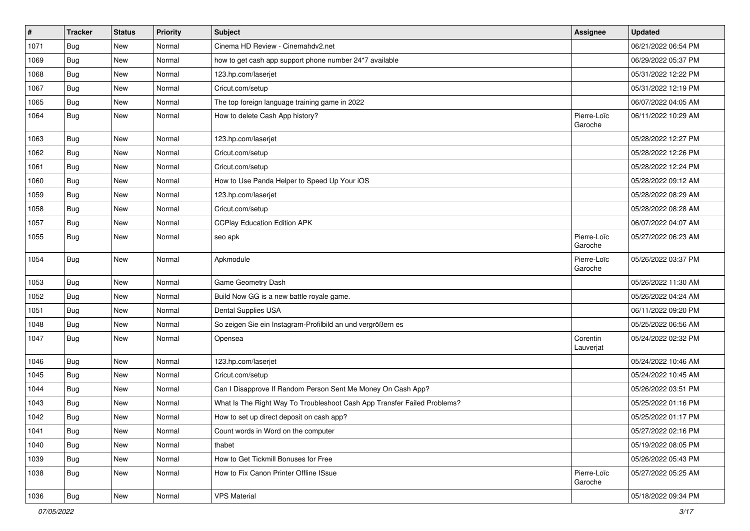| $\#$ | <b>Tracker</b> | <b>Status</b> | <b>Priority</b> | <b>Subject</b>                                                           | <b>Assignee</b>        | <b>Updated</b>      |
|------|----------------|---------------|-----------------|--------------------------------------------------------------------------|------------------------|---------------------|
| 1071 | <b>Bug</b>     | <b>New</b>    | Normal          | Cinema HD Review - Cinemahdv2.net                                        |                        | 06/21/2022 06:54 PM |
| 1069 | <b>Bug</b>     | <b>New</b>    | Normal          | how to get cash app support phone number 24*7 available                  |                        | 06/29/2022 05:37 PM |
| 1068 | <b>Bug</b>     | <b>New</b>    | Normal          | 123.hp.com/laserjet                                                      |                        | 05/31/2022 12:22 PM |
| 1067 | Bug            | <b>New</b>    | Normal          | Cricut.com/setup                                                         |                        | 05/31/2022 12:19 PM |
| 1065 | <b>Bug</b>     | <b>New</b>    | Normal          | The top foreign language training game in 2022                           |                        | 06/07/2022 04:05 AM |
| 1064 | Bug            | <b>New</b>    | Normal          | How to delete Cash App history?                                          | Pierre-Loïc<br>Garoche | 06/11/2022 10:29 AM |
| 1063 | Bug            | New           | Normal          | 123.hp.com/laserjet                                                      |                        | 05/28/2022 12:27 PM |
| 1062 | <b>Bug</b>     | <b>New</b>    | Normal          | Cricut.com/setup                                                         |                        | 05/28/2022 12:26 PM |
| 1061 | Bug            | New           | Normal          | Cricut.com/setup                                                         |                        | 05/28/2022 12:24 PM |
| 1060 | <b>Bug</b>     | <b>New</b>    | Normal          | How to Use Panda Helper to Speed Up Your iOS                             |                        | 05/28/2022 09:12 AM |
| 1059 | Bug            | <b>New</b>    | Normal          | 123.hp.com/laserjet                                                      |                        | 05/28/2022 08:29 AM |
| 1058 | <b>Bug</b>     | New           | Normal          | Cricut.com/setup                                                         |                        | 05/28/2022 08:28 AM |
| 1057 | <b>Bug</b>     | <b>New</b>    | Normal          | <b>CCPlay Education Edition APK</b>                                      |                        | 06/07/2022 04:07 AM |
| 1055 | <b>Bug</b>     | New           | Normal          | seo apk                                                                  | Pierre-Loïc<br>Garoche | 05/27/2022 06:23 AM |
| 1054 | Bug            | New           | Normal          | Apkmodule                                                                | Pierre-Loïc<br>Garoche | 05/26/2022 03:37 PM |
| 1053 | <b>Bug</b>     | New           | Normal          | Game Geometry Dash                                                       |                        | 05/26/2022 11:30 AM |
| 1052 | Bug            | New           | Normal          | Build Now GG is a new battle royale game.                                |                        | 05/26/2022 04:24 AM |
| 1051 | Bug            | New           | Normal          | Dental Supplies USA                                                      |                        | 06/11/2022 09:20 PM |
| 1048 | <b>Bug</b>     | New           | Normal          | So zeigen Sie ein Instagram-Profilbild an und vergrößern es              |                        | 05/25/2022 06:56 AM |
| 1047 | <b>Bug</b>     | New           | Normal          | Opensea                                                                  | Corentin<br>Lauverjat  | 05/24/2022 02:32 PM |
| 1046 | <b>Bug</b>     | New           | Normal          | 123.hp.com/laserjet                                                      |                        | 05/24/2022 10:46 AM |
| 1045 | <b>Bug</b>     | New           | Normal          | Cricut.com/setup                                                         |                        | 05/24/2022 10:45 AM |
| 1044 | <b>Bug</b>     | New           | Normal          | Can I Disapprove If Random Person Sent Me Money On Cash App?             |                        | 05/26/2022 03:51 PM |
| 1043 | <b>Bug</b>     | New           | Normal          | What Is The Right Way To Troubleshoot Cash App Transfer Failed Problems? |                        | 05/25/2022 01:16 PM |
| 1042 | <b>Bug</b>     | New           | Normal          | How to set up direct deposit on cash app?                                |                        | 05/25/2022 01:17 PM |
| 1041 | <b>Bug</b>     | New           | Normal          | Count words in Word on the computer                                      |                        | 05/27/2022 02:16 PM |
| 1040 | <b>Bug</b>     | New           | Normal          | thabet                                                                   |                        | 05/19/2022 08:05 PM |
| 1039 | Bug            | New           | Normal          | How to Get Tickmill Bonuses for Free                                     |                        | 05/26/2022 05:43 PM |
| 1038 | Bug            | New           | Normal          | How to Fix Canon Printer Offline ISsue                                   | Pierre-Loïc<br>Garoche | 05/27/2022 05:25 AM |
| 1036 | <b>Bug</b>     | New           | Normal          | <b>VPS Material</b>                                                      |                        | 05/18/2022 09:34 PM |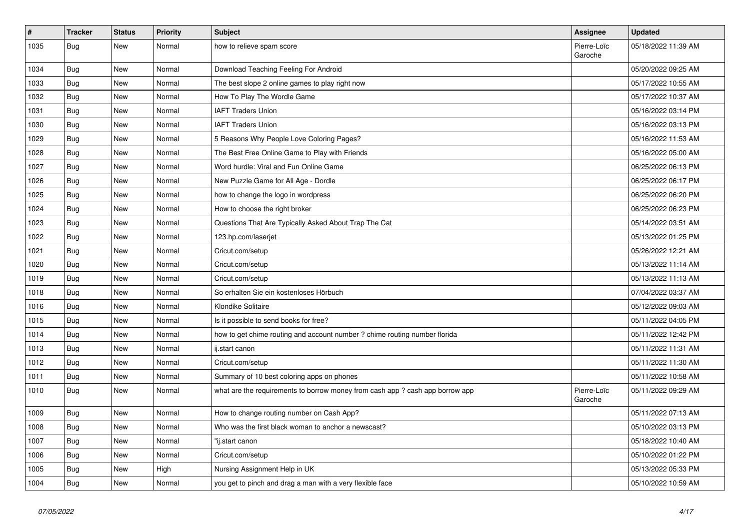| $\vert$ # | <b>Tracker</b> | <b>Status</b> | <b>Priority</b> | <b>Subject</b>                                                               | <b>Assignee</b>        | <b>Updated</b>      |
|-----------|----------------|---------------|-----------------|------------------------------------------------------------------------------|------------------------|---------------------|
| 1035      | <b>Bug</b>     | New           | Normal          | how to relieve spam score                                                    | Pierre-Loïc<br>Garoche | 05/18/2022 11:39 AM |
| 1034      | Bug            | New           | Normal          | Download Teaching Feeling For Android                                        |                        | 05/20/2022 09:25 AM |
| 1033      | Bug            | New           | Normal          | The best slope 2 online games to play right now                              |                        | 05/17/2022 10:55 AM |
| 1032      | <b>Bug</b>     | <b>New</b>    | Normal          | How To Play The Wordle Game                                                  |                        | 05/17/2022 10:37 AM |
| 1031      | <b>Bug</b>     | New           | Normal          | <b>IAFT Traders Union</b>                                                    |                        | 05/16/2022 03:14 PM |
| 1030      | <b>Bug</b>     | New           | Normal          | <b>IAFT Traders Union</b>                                                    |                        | 05/16/2022 03:13 PM |
| 1029      | <b>Bug</b>     | <b>New</b>    | Normal          | 5 Reasons Why People Love Coloring Pages?                                    |                        | 05/16/2022 11:53 AM |
| 1028      | <b>Bug</b>     | <b>New</b>    | Normal          | The Best Free Online Game to Play with Friends                               |                        | 05/16/2022 05:00 AM |
| 1027      | Bug            | <b>New</b>    | Normal          | Word hurdle: Viral and Fun Online Game                                       |                        | 06/25/2022 06:13 PM |
| 1026      | <b>Bug</b>     | <b>New</b>    | Normal          | New Puzzle Game for All Age - Dordle                                         |                        | 06/25/2022 06:17 PM |
| 1025      | <b>Bug</b>     | <b>New</b>    | Normal          | how to change the logo in wordpress                                          |                        | 06/25/2022 06:20 PM |
| 1024      | Bug            | <b>New</b>    | Normal          | How to choose the right broker                                               |                        | 06/25/2022 06:23 PM |
| 1023      | Bug            | <b>New</b>    | Normal          | Questions That Are Typically Asked About Trap The Cat                        |                        | 05/14/2022 03:51 AM |
| 1022      | <b>Bug</b>     | <b>New</b>    | Normal          | 123.hp.com/laserjet                                                          |                        | 05/13/2022 01:25 PM |
| 1021      | Bug            | <b>New</b>    | Normal          | Cricut.com/setup                                                             |                        | 05/26/2022 12:21 AM |
| 1020      | <b>Bug</b>     | <b>New</b>    | Normal          | Cricut.com/setup                                                             |                        | 05/13/2022 11:14 AM |
| 1019      | <b>Bug</b>     | New           | Normal          | Cricut.com/setup                                                             |                        | 05/13/2022 11:13 AM |
| 1018      | <b>Bug</b>     | New           | Normal          | So erhalten Sie ein kostenloses Hörbuch                                      |                        | 07/04/2022 03:37 AM |
| 1016      | <b>Bug</b>     | New           | Normal          | Klondike Solitaire                                                           |                        | 05/12/2022 09:03 AM |
| 1015      | <b>Bug</b>     | New           | Normal          | Is it possible to send books for free?                                       |                        | 05/11/2022 04:05 PM |
| 1014      | Bug            | <b>New</b>    | Normal          | how to get chime routing and account number ? chime routing number florida   |                        | 05/11/2022 12:42 PM |
| 1013      | <b>Bug</b>     | New           | Normal          | ij.start canon                                                               |                        | 05/11/2022 11:31 AM |
| 1012      | <b>Bug</b>     | New           | Normal          | Cricut.com/setup                                                             |                        | 05/11/2022 11:30 AM |
| 1011      | <b>Bug</b>     | New           | Normal          | Summary of 10 best coloring apps on phones                                   |                        | 05/11/2022 10:58 AM |
| 1010      | <b>Bug</b>     | New           | Normal          | what are the requirements to borrow money from cash app? cash app borrow app | Pierre-Loïc<br>Garoche | 05/11/2022 09:29 AM |
| 1009      | <b>Bug</b>     | <b>New</b>    | Normal          | How to change routing number on Cash App?                                    |                        | 05/11/2022 07:13 AM |
| 1008      | <b>Bug</b>     | New           | Normal          | Who was the first black woman to anchor a newscast?                          |                        | 05/10/2022 03:13 PM |
| 1007      | <b>Bug</b>     | New           | Normal          | "ij.start canon                                                              |                        | 05/18/2022 10:40 AM |
| 1006      | <b>Bug</b>     | New           | Normal          | Cricut.com/setup                                                             |                        | 05/10/2022 01:22 PM |
| 1005      | <b>Bug</b>     | <b>New</b>    | High            | Nursing Assignment Help in UK                                                |                        | 05/13/2022 05:33 PM |
| 1004      | <b>Bug</b>     | <b>New</b>    | Normal          | you get to pinch and drag a man with a very flexible face                    |                        | 05/10/2022 10:59 AM |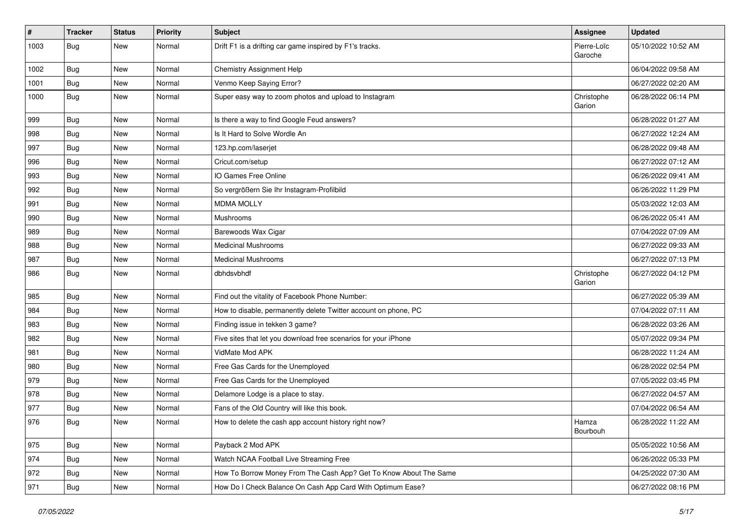| #    | <b>Tracker</b> | <b>Status</b> | <b>Priority</b> | <b>Subject</b>                                                    | <b>Assignee</b>        | <b>Updated</b>      |
|------|----------------|---------------|-----------------|-------------------------------------------------------------------|------------------------|---------------------|
| 1003 | <b>Bug</b>     | New           | Normal          | Drift F1 is a drifting car game inspired by F1's tracks.          | Pierre-Loïc<br>Garoche | 05/10/2022 10:52 AM |
| 1002 | <b>Bug</b>     | New           | Normal          | <b>Chemistry Assignment Help</b>                                  |                        | 06/04/2022 09:58 AM |
| 1001 | Bug            | New           | Normal          | Venmo Keep Saying Error?                                          |                        | 06/27/2022 02:20 AM |
| 1000 | Bug            | <b>New</b>    | Normal          | Super easy way to zoom photos and upload to Instagram             | Christophe<br>Garion   | 06/28/2022 06:14 PM |
| 999  | Bug            | New           | Normal          | Is there a way to find Google Feud answers?                       |                        | 06/28/2022 01:27 AM |
| 998  | Bug            | New           | Normal          | Is It Hard to Solve Wordle An                                     |                        | 06/27/2022 12:24 AM |
| 997  | <b>Bug</b>     | New           | Normal          | 123.hp.com/laserjet                                               |                        | 06/28/2022 09:48 AM |
| 996  | Bug            | <b>New</b>    | Normal          | Cricut.com/setup                                                  |                        | 06/27/2022 07:12 AM |
| 993  | <b>Bug</b>     | New           | Normal          | IO Games Free Online                                              |                        | 06/26/2022 09:41 AM |
| 992  | <b>Bug</b>     | New           | Normal          | So vergrößern Sie Ihr Instagram-Profilbild                        |                        | 06/26/2022 11:29 PM |
| 991  | <b>Bug</b>     | New           | Normal          | <b>MDMA MOLLY</b>                                                 |                        | 05/03/2022 12:03 AM |
| 990  | <b>Bug</b>     | New           | Normal          | <b>Mushrooms</b>                                                  |                        | 06/26/2022 05:41 AM |
| 989  | <b>Bug</b>     | New           | Normal          | Barewoods Wax Cigar                                               |                        | 07/04/2022 07:09 AM |
| 988  | <b>Bug</b>     | New           | Normal          | <b>Medicinal Mushrooms</b>                                        |                        | 06/27/2022 09:33 AM |
| 987  | Bug            | New           | Normal          | Medicinal Mushrooms                                               |                        | 06/27/2022 07:13 PM |
| 986  | Bug            | New           | Normal          | dbhdsvbhdf                                                        | Christophe<br>Garion   | 06/27/2022 04:12 PM |
| 985  | Bug            | New           | Normal          | Find out the vitality of Facebook Phone Number:                   |                        | 06/27/2022 05:39 AM |
| 984  | <b>Bug</b>     | New           | Normal          | How to disable, permanently delete Twitter account on phone, PC   |                        | 07/04/2022 07:11 AM |
| 983  | <b>Bug</b>     | New           | Normal          | Finding issue in tekken 3 game?                                   |                        | 06/28/2022 03:26 AM |
| 982  | Bug            | <b>New</b>    | Normal          | Five sites that let you download free scenarios for your iPhone   |                        | 05/07/2022 09:34 PM |
| 981  | Bug            | New           | Normal          | VidMate Mod APK                                                   |                        | 06/28/2022 11:24 AM |
| 980  | Bug            | New           | Normal          | Free Gas Cards for the Unemployed                                 |                        | 06/28/2022 02:54 PM |
| 979  | <b>Bug</b>     | New           | Normal          | Free Gas Cards for the Unemployed                                 |                        | 07/05/2022 03:45 PM |
| 978  | <b>Bug</b>     | New           | Normal          | Delamore Lodge is a place to stay.                                |                        | 06/27/2022 04:57 AM |
| 977  | <b>Bug</b>     | New           | Normal          | Fans of the Old Country will like this book.                      |                        | 07/04/2022 06:54 AM |
| 976  | Bug            | New           | Normal          | How to delete the cash app account history right now?             | Hamza<br>Bourbouh      | 06/28/2022 11:22 AM |
| 975  | Bug            | New           | Normal          | Payback 2 Mod APK                                                 |                        | 05/05/2022 10:56 AM |
| 974  | <b>Bug</b>     | New           | Normal          | Watch NCAA Football Live Streaming Free                           |                        | 06/26/2022 05:33 PM |
| 972  | <b>Bug</b>     | New           | Normal          | How To Borrow Money From The Cash App? Get To Know About The Same |                        | 04/25/2022 07:30 AM |
| 971  | <b>Bug</b>     | New           | Normal          | How Do I Check Balance On Cash App Card With Optimum Ease?        |                        | 06/27/2022 08:16 PM |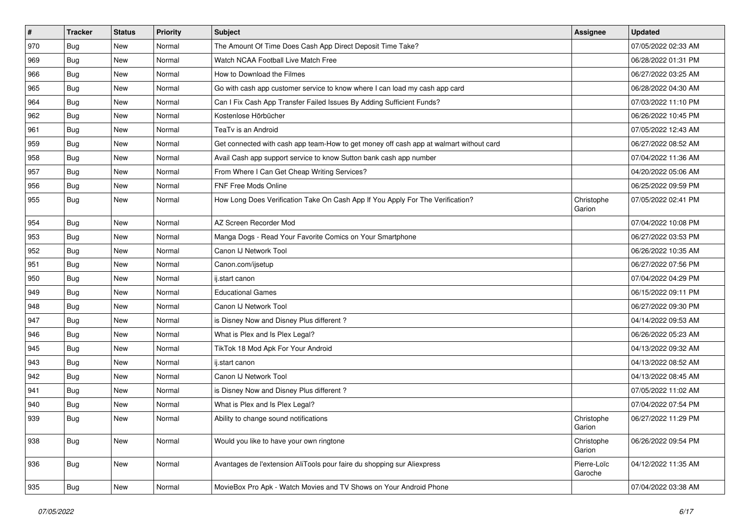| $\vert$ # | <b>Tracker</b> | <b>Status</b> | Priority | <b>Subject</b>                                                                         | <b>Assignee</b>        | <b>Updated</b>      |
|-----------|----------------|---------------|----------|----------------------------------------------------------------------------------------|------------------------|---------------------|
| 970       | <b>Bug</b>     | New           | Normal   | The Amount Of Time Does Cash App Direct Deposit Time Take?                             |                        | 07/05/2022 02:33 AM |
| 969       | <b>Bug</b>     | New           | Normal   | Watch NCAA Football Live Match Free                                                    |                        | 06/28/2022 01:31 PM |
| 966       | Bug            | New           | Normal   | How to Download the Filmes                                                             |                        | 06/27/2022 03:25 AM |
| 965       | <b>Bug</b>     | New           | Normal   | Go with cash app customer service to know where I can load my cash app card            |                        | 06/28/2022 04:30 AM |
| 964       | Bug            | New           | Normal   | Can I Fix Cash App Transfer Failed Issues By Adding Sufficient Funds?                  |                        | 07/03/2022 11:10 PM |
| 962       | <b>Bug</b>     | New           | Normal   | Kostenlose Hörbücher                                                                   |                        | 06/26/2022 10:45 PM |
| 961       | Bug            | New           | Normal   | TeaTv is an Android                                                                    |                        | 07/05/2022 12:43 AM |
| 959       | <b>Bug</b>     | New           | Normal   | Get connected with cash app team-How to get money off cash app at walmart without card |                        | 06/27/2022 08:52 AM |
| 958       | <b>Bug</b>     | New           | Normal   | Avail Cash app support service to know Sutton bank cash app number                     |                        | 07/04/2022 11:36 AM |
| 957       | Bug            | New           | Normal   | From Where I Can Get Cheap Writing Services?                                           |                        | 04/20/2022 05:06 AM |
| 956       | <b>Bug</b>     | New           | Normal   | <b>FNF Free Mods Online</b>                                                            |                        | 06/25/2022 09:59 PM |
| 955       | Bug            | New           | Normal   | How Long Does Verification Take On Cash App If You Apply For The Verification?         | Christophe<br>Garion   | 07/05/2022 02:41 PM |
| 954       | Bug            | New           | Normal   | AZ Screen Recorder Mod                                                                 |                        | 07/04/2022 10:08 PM |
| 953       | <b>Bug</b>     | <b>New</b>    | Normal   | Manga Dogs - Read Your Favorite Comics on Your Smartphone                              |                        | 06/27/2022 03:53 PM |
| 952       | <b>Bug</b>     | New           | Normal   | Canon IJ Network Tool                                                                  |                        | 06/26/2022 10:35 AM |
| 951       | <b>Bug</b>     | New           | Normal   | Canon.com/ijsetup                                                                      |                        | 06/27/2022 07:56 PM |
| 950       | Bug            | New           | Normal   | ij.start canon                                                                         |                        | 07/04/2022 04:29 PM |
| 949       | <b>Bug</b>     | New           | Normal   | <b>Educational Games</b>                                                               |                        | 06/15/2022 09:11 PM |
| 948       | Bug            | New           | Normal   | Canon IJ Network Tool                                                                  |                        | 06/27/2022 09:30 PM |
| 947       | Bug            | New           | Normal   | is Disney Now and Disney Plus different?                                               |                        | 04/14/2022 09:53 AM |
| 946       | <b>Bug</b>     | New           | Normal   | What is Plex and Is Plex Legal?                                                        |                        | 06/26/2022 05:23 AM |
| 945       | Bug            | New           | Normal   | TikTok 18 Mod Apk For Your Android                                                     |                        | 04/13/2022 09:32 AM |
| 943       | Bug            | New           | Normal   | ij.start canon                                                                         |                        | 04/13/2022 08:52 AM |
| 942       | <b>Bug</b>     | New           | Normal   | Canon IJ Network Tool                                                                  |                        | 04/13/2022 08:45 AM |
| 941       | <b>Bug</b>     | New           | Normal   | is Disney Now and Disney Plus different?                                               |                        | 07/05/2022 11:02 AM |
| 940       | Bug            | New           | Normal   | What is Plex and Is Plex Legal?                                                        |                        | 07/04/2022 07:54 PM |
| 939       | <b>Bug</b>     | <b>New</b>    | Normal   | Ability to change sound notifications                                                  | Christophe<br>Garion   | 06/27/2022 11:29 PM |
| 938       | Bug            | New           | Normal   | Would you like to have your own ringtone                                               | Christophe<br>Garion   | 06/26/2022 09:54 PM |
| 936       | Bug            | New           | Normal   | Avantages de l'extension AliTools pour faire du shopping sur Aliexpress                | Pierre-Loïc<br>Garoche | 04/12/2022 11:35 AM |
| 935       | <b>Bug</b>     | New           | Normal   | MovieBox Pro Apk - Watch Movies and TV Shows on Your Android Phone                     |                        | 07/04/2022 03:38 AM |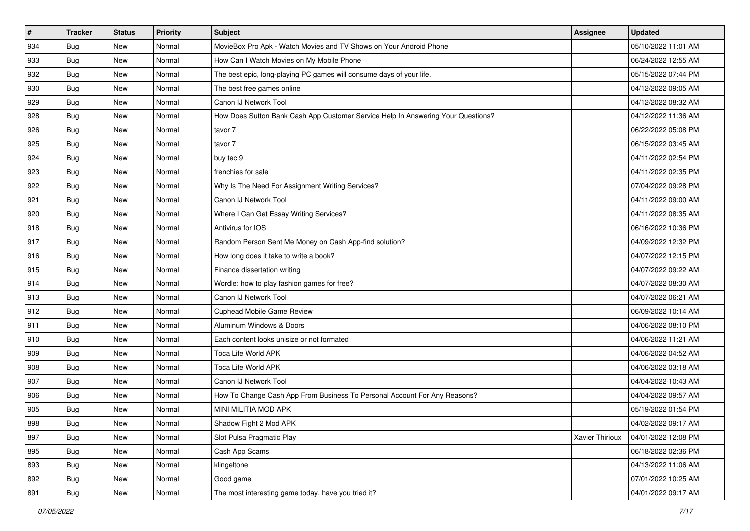| #   | <b>Tracker</b> | <b>Status</b> | Priority | Subject                                                                          | Assignee        | <b>Updated</b>      |
|-----|----------------|---------------|----------|----------------------------------------------------------------------------------|-----------------|---------------------|
| 934 | <b>Bug</b>     | New           | Normal   | MovieBox Pro Apk - Watch Movies and TV Shows on Your Android Phone               |                 | 05/10/2022 11:01 AM |
| 933 | <b>Bug</b>     | New           | Normal   | How Can I Watch Movies on My Mobile Phone                                        |                 | 06/24/2022 12:55 AM |
| 932 | <b>Bug</b>     | New           | Normal   | The best epic, long-playing PC games will consume days of your life.             |                 | 05/15/2022 07:44 PM |
| 930 | <b>Bug</b>     | New           | Normal   | The best free games online                                                       |                 | 04/12/2022 09:05 AM |
| 929 | Bug            | <b>New</b>    | Normal   | Canon IJ Network Tool                                                            |                 | 04/12/2022 08:32 AM |
| 928 | Bug            | New           | Normal   | How Does Sutton Bank Cash App Customer Service Help In Answering Your Questions? |                 | 04/12/2022 11:36 AM |
| 926 | <b>Bug</b>     | New           | Normal   | tavor 7                                                                          |                 | 06/22/2022 05:08 PM |
| 925 | Bug            | New           | Normal   | tavor 7                                                                          |                 | 06/15/2022 03:45 AM |
| 924 | <b>Bug</b>     | New           | Normal   | buy tec 9                                                                        |                 | 04/11/2022 02:54 PM |
| 923 | Bug            | <b>New</b>    | Normal   | frenchies for sale                                                               |                 | 04/11/2022 02:35 PM |
| 922 | <b>Bug</b>     | New           | Normal   | Why Is The Need For Assignment Writing Services?                                 |                 | 07/04/2022 09:28 PM |
| 921 | Bug            | New           | Normal   | Canon IJ Network Tool                                                            |                 | 04/11/2022 09:00 AM |
| 920 | Bug            | <b>New</b>    | Normal   | Where I Can Get Essay Writing Services?                                          |                 | 04/11/2022 08:35 AM |
| 918 | <b>Bug</b>     | New           | Normal   | Antivirus for IOS                                                                |                 | 06/16/2022 10:36 PM |
| 917 | <b>Bug</b>     | New           | Normal   | Random Person Sent Me Money on Cash App-find solution?                           |                 | 04/09/2022 12:32 PM |
| 916 | Bug            | New           | Normal   | How long does it take to write a book?                                           |                 | 04/07/2022 12:15 PM |
| 915 | <b>Bug</b>     | New           | Normal   | Finance dissertation writing                                                     |                 | 04/07/2022 09:22 AM |
| 914 | Bug            | <b>New</b>    | Normal   | Wordle: how to play fashion games for free?                                      |                 | 04/07/2022 08:30 AM |
| 913 | <b>Bug</b>     | New           | Normal   | Canon IJ Network Tool                                                            |                 | 04/07/2022 06:21 AM |
| 912 | <b>Bug</b>     | New           | Normal   | Cuphead Mobile Game Review                                                       |                 | 06/09/2022 10:14 AM |
| 911 | Bug            | New           | Normal   | Aluminum Windows & Doors                                                         |                 | 04/06/2022 08:10 PM |
| 910 | <b>Bug</b>     | New           | Normal   | Each content looks unisize or not formated                                       |                 | 04/06/2022 11:21 AM |
| 909 | Bug            | <b>New</b>    | Normal   | <b>Toca Life World APK</b>                                                       |                 | 04/06/2022 04:52 AM |
| 908 | <b>Bug</b>     | New           | Normal   | Toca Life World APK                                                              |                 | 04/06/2022 03:18 AM |
| 907 | <b>Bug</b>     | New           | Normal   | Canon IJ Network Tool                                                            |                 | 04/04/2022 10:43 AM |
| 906 | Bug            | New           | Normal   | How To Change Cash App From Business To Personal Account For Any Reasons?        |                 | 04/04/2022 09:57 AM |
| 905 | <b>Bug</b>     | New           | Normal   | MINI MILITIA MOD APK                                                             |                 | 05/19/2022 01:54 PM |
| 898 | <b>Bug</b>     | New           | Normal   | Shadow Fight 2 Mod APK                                                           |                 | 04/02/2022 09:17 AM |
| 897 | Bug            | New           | Normal   | Slot Pulsa Pragmatic Play                                                        | Xavier Thirioux | 04/01/2022 12:08 PM |
| 895 | <b>Bug</b>     | New           | Normal   | Cash App Scams                                                                   |                 | 06/18/2022 02:36 PM |
| 893 | Bug            | New           | Normal   | klingeltone                                                                      |                 | 04/13/2022 11:06 AM |
| 892 | <b>Bug</b>     | New           | Normal   | Good game                                                                        |                 | 07/01/2022 10:25 AM |
| 891 | <b>Bug</b>     | New           | Normal   | The most interesting game today, have you tried it?                              |                 | 04/01/2022 09:17 AM |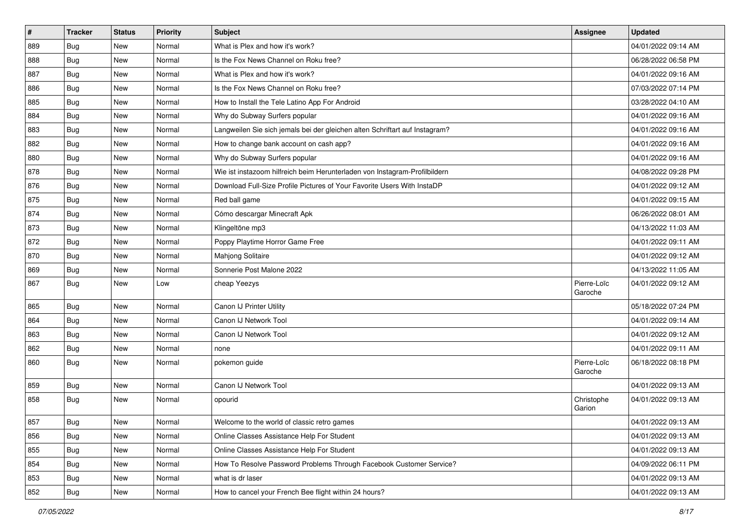| $\vert$ # | <b>Tracker</b> | <b>Status</b> | Priority | Subject                                                                     | Assignee               | <b>Updated</b>      |
|-----------|----------------|---------------|----------|-----------------------------------------------------------------------------|------------------------|---------------------|
| 889       | Bug            | New           | Normal   | What is Plex and how it's work?                                             |                        | 04/01/2022 09:14 AM |
| 888       | Bug            | <b>New</b>    | Normal   | Is the Fox News Channel on Roku free?                                       |                        | 06/28/2022 06:58 PM |
| 887       | Bug            | <b>New</b>    | Normal   | What is Plex and how it's work?                                             |                        | 04/01/2022 09:16 AM |
| 886       | <b>Bug</b>     | New           | Normal   | Is the Fox News Channel on Roku free?                                       |                        | 07/03/2022 07:14 PM |
| 885       | <b>Bug</b>     | <b>New</b>    | Normal   | How to Install the Tele Latino App For Android                              |                        | 03/28/2022 04:10 AM |
| 884       | Bug            | New           | Normal   | Why do Subway Surfers popular                                               |                        | 04/01/2022 09:16 AM |
| 883       | Bug            | <b>New</b>    | Normal   | Langweilen Sie sich jemals bei der gleichen alten Schriftart auf Instagram? |                        | 04/01/2022 09:16 AM |
| 882       | <b>Bug</b>     | <b>New</b>    | Normal   | How to change bank account on cash app?                                     |                        | 04/01/2022 09:16 AM |
| 880       | <b>Bug</b>     | <b>New</b>    | Normal   | Why do Subway Surfers popular                                               |                        | 04/01/2022 09:16 AM |
| 878       | Bug            | <b>New</b>    | Normal   | Wie ist instazoom hilfreich beim Herunterladen von Instagram-Profilbildern  |                        | 04/08/2022 09:28 PM |
| 876       | <b>Bug</b>     | New           | Normal   | Download Full-Size Profile Pictures of Your Favorite Users With InstaDP     |                        | 04/01/2022 09:12 AM |
| 875       | <b>Bug</b>     | New           | Normal   | Red ball game                                                               |                        | 04/01/2022 09:15 AM |
| 874       | Bug            | <b>New</b>    | Normal   | Cómo descargar Minecraft Apk                                                |                        | 06/26/2022 08:01 AM |
| 873       | <b>Bug</b>     | <b>New</b>    | Normal   | Klingeltöne mp3                                                             |                        | 04/13/2022 11:03 AM |
| 872       | Bug            | New           | Normal   | Poppy Playtime Horror Game Free                                             |                        | 04/01/2022 09:11 AM |
| 870       | Bug            | New           | Normal   | Mahjong Solitaire                                                           |                        | 04/01/2022 09:12 AM |
| 869       | Bug            | New           | Normal   | Sonnerie Post Malone 2022                                                   |                        | 04/13/2022 11:05 AM |
| 867       | Bug            | <b>New</b>    | Low      | cheap Yeezys                                                                | Pierre-Loïc<br>Garoche | 04/01/2022 09:12 AM |
| 865       | Bug            | New           | Normal   | Canon IJ Printer Utility                                                    |                        | 05/18/2022 07:24 PM |
| 864       | Bug            | <b>New</b>    | Normal   | Canon IJ Network Tool                                                       |                        | 04/01/2022 09:14 AM |
| 863       | <b>Bug</b>     | <b>New</b>    | Normal   | Canon IJ Network Tool                                                       |                        | 04/01/2022 09:12 AM |
| 862       | Bug            | <b>New</b>    | Normal   | none                                                                        |                        | 04/01/2022 09:11 AM |
| 860       | Bug            | New           | Normal   | pokemon guide                                                               | Pierre-Loïc<br>Garoche | 06/18/2022 08:18 PM |
| 859       | Bug            | New           | Normal   | Canon IJ Network Tool                                                       |                        | 04/01/2022 09:13 AM |
| 858       | Bug            | New           | Normal   | opourid                                                                     | Christophe<br>Garion   | 04/01/2022 09:13 AM |
| 857       | <b>Bug</b>     | New           | Normal   | Welcome to the world of classic retro games                                 |                        | 04/01/2022 09:13 AM |
| 856       | <b>Bug</b>     | New           | Normal   | Online Classes Assistance Help For Student                                  |                        | 04/01/2022 09:13 AM |
| 855       | <b>Bug</b>     | New           | Normal   | Online Classes Assistance Help For Student                                  |                        | 04/01/2022 09:13 AM |
| 854       | Bug            | New           | Normal   | How To Resolve Password Problems Through Facebook Customer Service?         |                        | 04/09/2022 06:11 PM |
| 853       | Bug            | New           | Normal   | what is dr laser                                                            |                        | 04/01/2022 09:13 AM |
| 852       | <b>Bug</b>     | New           | Normal   | How to cancel your French Bee flight within 24 hours?                       |                        | 04/01/2022 09:13 AM |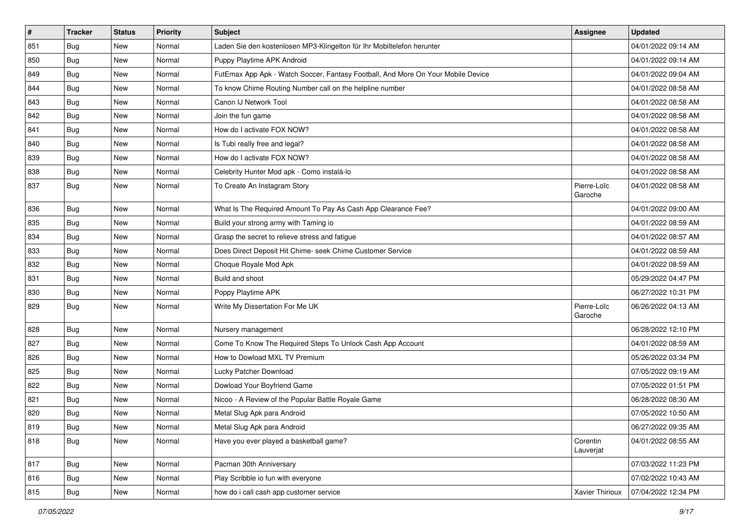| #   | <b>Tracker</b> | <b>Status</b> | <b>Priority</b> | Subject                                                                          | Assignee               | <b>Updated</b>      |
|-----|----------------|---------------|-----------------|----------------------------------------------------------------------------------|------------------------|---------------------|
| 851 | <b>Bug</b>     | New           | Normal          | Laden Sie den kostenlosen MP3-Klingelton für Ihr Mobiltelefon herunter           |                        | 04/01/2022 09:14 AM |
| 850 | Bug            | New           | Normal          | Puppy Playtime APK Android                                                       |                        | 04/01/2022 09:14 AM |
| 849 | Bug            | New           | Normal          | FutEmax App Apk - Watch Soccer, Fantasy Football, And More On Your Mobile Device |                        | 04/01/2022 09:04 AM |
| 844 | <b>Bug</b>     | <b>New</b>    | Normal          | To know Chime Routing Number call on the helpline number                         |                        | 04/01/2022 08:58 AM |
| 843 | Bug            | <b>New</b>    | Normal          | Canon IJ Network Tool                                                            |                        | 04/01/2022 08:58 AM |
| 842 | <b>Bug</b>     | <b>New</b>    | Normal          | Join the fun game                                                                |                        | 04/01/2022 08:58 AM |
| 841 | <b>Bug</b>     | New           | Normal          | How do I activate FOX NOW?                                                       |                        | 04/01/2022 08:58 AM |
| 840 | Bug            | <b>New</b>    | Normal          | Is Tubi really free and legal?                                                   |                        | 04/01/2022 08:58 AM |
| 839 | Bug            | <b>New</b>    | Normal          | How do I activate FOX NOW?                                                       |                        | 04/01/2022 08:58 AM |
| 838 | Bug            | <b>New</b>    | Normal          | Celebrity Hunter Mod apk - Como instalá-lo                                       |                        | 04/01/2022 08:58 AM |
| 837 | <b>Bug</b>     | <b>New</b>    | Normal          | To Create An Instagram Story                                                     | Pierre-Loïc<br>Garoche | 04/01/2022 08:58 AM |
| 836 | Bug            | New           | Normal          | What Is The Required Amount To Pay As Cash App Clearance Fee?                    |                        | 04/01/2022 09:00 AM |
| 835 | <b>Bug</b>     | <b>New</b>    | Normal          | Build your strong army with Taming io                                            |                        | 04/01/2022 08:59 AM |
| 834 | Bug            | New           | Normal          | Grasp the secret to relieve stress and fatigue                                   |                        | 04/01/2022 08:57 AM |
| 833 | Bug            | <b>New</b>    | Normal          | Does Direct Deposit Hit Chime- seek Chime Customer Service                       |                        | 04/01/2022 08:59 AM |
| 832 | <b>Bug</b>     | <b>New</b>    | Normal          | Choque Royale Mod Apk                                                            |                        | 04/01/2022 08:59 AM |
| 831 | Bug            | <b>New</b>    | Normal          | Build and shoot                                                                  |                        | 05/29/2022 04:47 PM |
| 830 | <b>Bug</b>     | New           | Normal          | Poppy Playtime APK                                                               |                        | 06/27/2022 10:31 PM |
| 829 | Bug            | New           | Normal          | Write My Dissertation For Me UK                                                  | Pierre-Loïc<br>Garoche | 06/26/2022 04:13 AM |
| 828 | <b>Bug</b>     | <b>New</b>    | Normal          | Nursery management                                                               |                        | 06/28/2022 12:10 PM |
| 827 | <b>Bug</b>     | New           | Normal          | Come To Know The Required Steps To Unlock Cash App Account                       |                        | 04/01/2022 08:59 AM |
| 826 | <b>Bug</b>     | New           | Normal          | How to Dowload MXL TV Premium                                                    |                        | 05/26/2022 03:34 PM |
| 825 | <b>Bug</b>     | <b>New</b>    | Normal          | Lucky Patcher Download                                                           |                        | 07/05/2022 09:19 AM |
| 822 | Bug            | <b>New</b>    | Normal          | Dowload Your Boyfriend Game                                                      |                        | 07/05/2022 01:51 PM |
| 821 | <b>Bug</b>     | New           | Normal          | Nicoo - A Review of the Popular Battle Royale Game                               |                        | 06/28/2022 08:30 AM |
| 820 | <b>Bug</b>     | New           | Normal          | Metal Slug Apk para Android                                                      |                        | 07/05/2022 10:50 AM |
| 819 | Bug            | New           | Normal          | Metal Slug Apk para Android                                                      |                        | 06/27/2022 09:35 AM |
| 818 | <b>Bug</b>     | New           | Normal          | Have you ever played a basketball game?                                          | Corentin<br>Lauverjat  | 04/01/2022 08:55 AM |
| 817 | <b>Bug</b>     | New           | Normal          | Pacman 30th Anniversary                                                          |                        | 07/03/2022 11:23 PM |
| 816 | <b>Bug</b>     | New           | Normal          | Play Scribble io fun with everyone                                               |                        | 07/02/2022 10:43 AM |
| 815 | Bug            | New           | Normal          | how do i call cash app customer service                                          | Xavier Thirioux        | 07/04/2022 12:34 PM |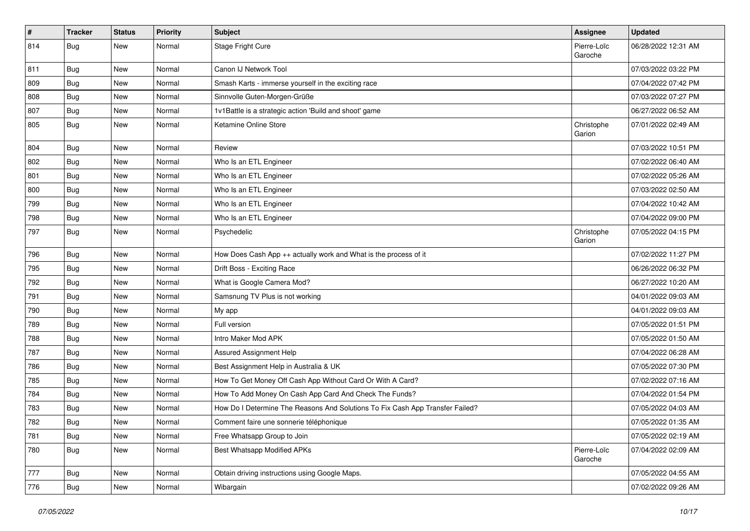| $\vert$ # | <b>Tracker</b> | <b>Status</b> | Priority | <b>Subject</b>                                                                | <b>Assignee</b>        | <b>Updated</b>      |
|-----------|----------------|---------------|----------|-------------------------------------------------------------------------------|------------------------|---------------------|
| 814       | <b>Bug</b>     | New           | Normal   | Stage Fright Cure                                                             | Pierre-Loïc<br>Garoche | 06/28/2022 12:31 AM |
| 811       | Bug            | New           | Normal   | Canon IJ Network Tool                                                         |                        | 07/03/2022 03:22 PM |
| 809       | Bug            | New           | Normal   | Smash Karts - immerse yourself in the exciting race                           |                        | 07/04/2022 07:42 PM |
| 808       | Bug            | New           | Normal   | Sinnvolle Guten-Morgen-Grüße                                                  |                        | 07/03/2022 07:27 PM |
| 807       | <b>Bug</b>     | New           | Normal   | 1v1Battle is a strategic action 'Build and shoot' game                        |                        | 06/27/2022 06:52 AM |
| 805       | Bug            | New           | Normal   | Ketamine Online Store                                                         | Christophe<br>Garion   | 07/01/2022 02:49 AM |
| 804       | <b>Bug</b>     | New           | Normal   | Review                                                                        |                        | 07/03/2022 10:51 PM |
| 802       | Bug            | New           | Normal   | Who Is an ETL Engineer                                                        |                        | 07/02/2022 06:40 AM |
| 801       | Bug            | New           | Normal   | Who Is an ETL Engineer                                                        |                        | 07/02/2022 05:26 AM |
| 800       | Bug            | New           | Normal   | Who Is an ETL Engineer                                                        |                        | 07/03/2022 02:50 AM |
| 799       | Bug            | New           | Normal   | Who Is an ETL Engineer                                                        |                        | 07/04/2022 10:42 AM |
| 798       | Bug            | New           | Normal   | Who Is an ETL Engineer                                                        |                        | 07/04/2022 09:00 PM |
| 797       | Bug            | New           | Normal   | Psychedelic                                                                   | Christophe<br>Garion   | 07/05/2022 04:15 PM |
| 796       | <b>Bug</b>     | New           | Normal   | How Does Cash App ++ actually work and What is the process of it              |                        | 07/02/2022 11:27 PM |
| 795       | Bug            | New           | Normal   | Drift Boss - Exciting Race                                                    |                        | 06/26/2022 06:32 PM |
| 792       | <b>Bug</b>     | New           | Normal   | What is Google Camera Mod?                                                    |                        | 06/27/2022 10:20 AM |
| 791       | Bug            | New           | Normal   | Samsnung TV Plus is not working                                               |                        | 04/01/2022 09:03 AM |
| 790       | Bug            | New           | Normal   | My app                                                                        |                        | 04/01/2022 09:03 AM |
| 789       | <b>Bug</b>     | New           | Normal   | Full version                                                                  |                        | 07/05/2022 01:51 PM |
| 788       | Bug            | New           | Normal   | Intro Maker Mod APK                                                           |                        | 07/05/2022 01:50 AM |
| 787       | <b>Bug</b>     | New           | Normal   | Assured Assignment Help                                                       |                        | 07/04/2022 06:28 AM |
| 786       | <b>Bug</b>     | New           | Normal   | Best Assignment Help in Australia & UK                                        |                        | 07/05/2022 07:30 PM |
| 785       | <b>Bug</b>     | New           | Normal   | How To Get Money Off Cash App Without Card Or With A Card?                    |                        | 07/02/2022 07:16 AM |
| 784       | Bug            | New           | Normal   | How To Add Money On Cash App Card And Check The Funds?                        |                        | 07/04/2022 01:54 PM |
| 783       | <b>Bug</b>     | New           | Normal   | How Do I Determine The Reasons And Solutions To Fix Cash App Transfer Failed? |                        | 07/05/2022 04:03 AM |
| 782       | i Bug          | New           | Normal   | Comment faire une sonnerie téléphonique                                       |                        | 07/05/2022 01:35 AM |
| 781       | <b>Bug</b>     | New           | Normal   | Free Whatsapp Group to Join                                                   |                        | 07/05/2022 02:19 AM |
| 780       | Bug            | New           | Normal   | Best Whatsapp Modified APKs                                                   | Pierre-Loïc<br>Garoche | 07/04/2022 02:09 AM |
| 777       | Bug            | New           | Normal   | Obtain driving instructions using Google Maps.                                |                        | 07/05/2022 04:55 AM |
| 776       | <b>Bug</b>     | New           | Normal   | Wibargain                                                                     |                        | 07/02/2022 09:26 AM |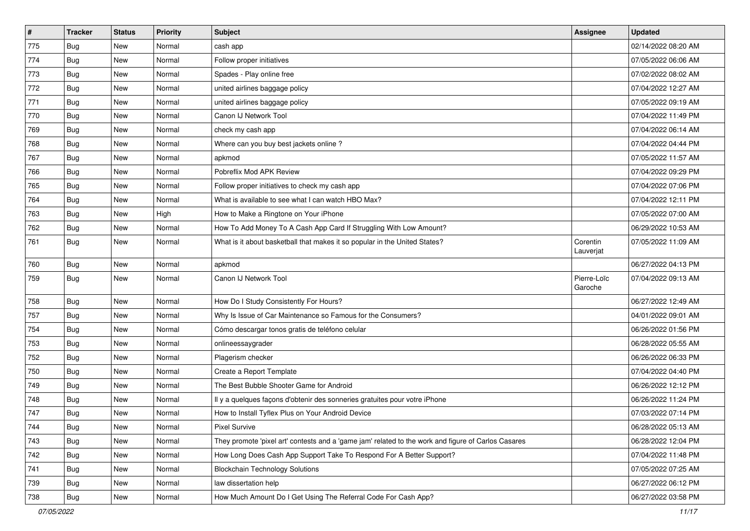| $\vert$ # | <b>Tracker</b> | <b>Status</b> | Priority | Subject                                                                                             | <b>Assignee</b>        | <b>Updated</b>      |
|-----------|----------------|---------------|----------|-----------------------------------------------------------------------------------------------------|------------------------|---------------------|
| 775       | <b>Bug</b>     | New           | Normal   | cash app                                                                                            |                        | 02/14/2022 08:20 AM |
| 774       | Bug            | <b>New</b>    | Normal   | Follow proper initiatives                                                                           |                        | 07/05/2022 06:06 AM |
| 773       | <b>Bug</b>     | New           | Normal   | Spades - Play online free                                                                           |                        | 07/02/2022 08:02 AM |
| 772       | <b>Bug</b>     | New           | Normal   | united airlines baggage policy                                                                      |                        | 07/04/2022 12:27 AM |
| 771       | <b>Bug</b>     | New           | Normal   | united airlines baggage policy                                                                      |                        | 07/05/2022 09:19 AM |
| 770       | Bug            | New           | Normal   | Canon IJ Network Tool                                                                               |                        | 07/04/2022 11:49 PM |
| 769       | <b>Bug</b>     | <b>New</b>    | Normal   | check my cash app                                                                                   |                        | 07/04/2022 06:14 AM |
| 768       | <b>Bug</b>     | New           | Normal   | Where can you buy best jackets online?                                                              |                        | 07/04/2022 04:44 PM |
| 767       | <b>Bug</b>     | New           | Normal   | apkmod                                                                                              |                        | 07/05/2022 11:57 AM |
| 766       | Bug            | New           | Normal   | Pobreflix Mod APK Review                                                                            |                        | 07/04/2022 09:29 PM |
| 765       | <b>Bug</b>     | <b>New</b>    | Normal   | Follow proper initiatives to check my cash app                                                      |                        | 07/04/2022 07:06 PM |
| 764       | <b>Bug</b>     | New           | Normal   | What is available to see what I can watch HBO Max?                                                  |                        | 07/04/2022 12:11 PM |
| 763       | Bug            | New           | High     | How to Make a Ringtone on Your iPhone                                                               |                        | 07/05/2022 07:00 AM |
| 762       | Bug            | New           | Normal   | How To Add Money To A Cash App Card If Struggling With Low Amount?                                  |                        | 06/29/2022 10:53 AM |
| 761       | <b>Bug</b>     | New           | Normal   | What is it about basketball that makes it so popular in the United States?                          | Corentin<br>Lauverjat  | 07/05/2022 11:09 AM |
| 760       | <b>Bug</b>     | New           | Normal   | apkmod                                                                                              |                        | 06/27/2022 04:13 PM |
| 759       | Bug            | New           | Normal   | Canon IJ Network Tool                                                                               | Pierre-Loïc<br>Garoche | 07/04/2022 09:13 AM |
| 758       | <b>Bug</b>     | New           | Normal   | How Do I Study Consistently For Hours?                                                              |                        | 06/27/2022 12:49 AM |
| 757       | <b>Bug</b>     | <b>New</b>    | Normal   | Why Is Issue of Car Maintenance so Famous for the Consumers?                                        |                        | 04/01/2022 09:01 AM |
| 754       | <b>Bug</b>     | New           | Normal   | Cómo descargar tonos gratis de teléfono celular                                                     |                        | 06/26/2022 01:56 PM |
| 753       | Bug            | New           | Normal   | onlineessaygrader                                                                                   |                        | 06/28/2022 05:55 AM |
| 752       | Bug            | New           | Normal   | Plagerism checker                                                                                   |                        | 06/26/2022 06:33 PM |
| 750       | <b>Bug</b>     | New           | Normal   | Create a Report Template                                                                            |                        | 07/04/2022 04:40 PM |
| 749       | <b>Bug</b>     | New           | Normal   | The Best Bubble Shooter Game for Android                                                            |                        | 06/26/2022 12:12 PM |
| 748       | <b>Bug</b>     | New           | Normal   | Il y a quelques façons d'obtenir des sonneries gratuites pour votre iPhone                          |                        | 06/26/2022 11:24 PM |
| 747       | <b>Bug</b>     | New           | Normal   | How to Install Tyflex Plus on Your Android Device                                                   |                        | 07/03/2022 07:14 PM |
| 744       | Bug            | New           | Normal   | Pixel Survive                                                                                       |                        | 06/28/2022 05:13 AM |
| 743       | <b>Bug</b>     | New           | Normal   | They promote 'pixel art' contests and a 'game jam' related to the work and figure of Carlos Casares |                        | 06/28/2022 12:04 PM |
| 742       | Bug            | New           | Normal   | How Long Does Cash App Support Take To Respond For A Better Support?                                |                        | 07/04/2022 11:48 PM |
| 741       | Bug            | New           | Normal   | <b>Blockchain Technology Solutions</b>                                                              |                        | 07/05/2022 07:25 AM |
| 739       | <b>Bug</b>     | New           | Normal   | law dissertation help                                                                               |                        | 06/27/2022 06:12 PM |
| 738       | <b>Bug</b>     | New           | Normal   | How Much Amount Do I Get Using The Referral Code For Cash App?                                      |                        | 06/27/2022 03:58 PM |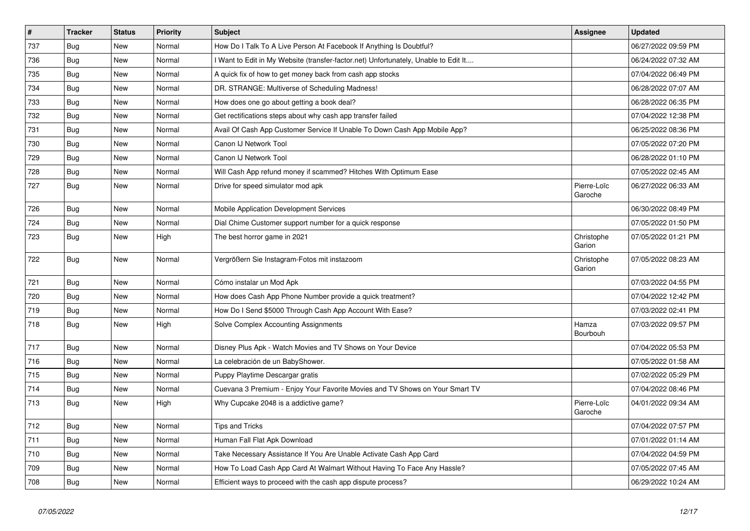| $\vert$ # | <b>Tracker</b> | <b>Status</b> | <b>Priority</b> | <b>Subject</b>                                                                    | <b>Assignee</b>        | <b>Updated</b>      |
|-----------|----------------|---------------|-----------------|-----------------------------------------------------------------------------------|------------------------|---------------------|
| 737       | Bug            | <b>New</b>    | Normal          | How Do I Talk To A Live Person At Facebook If Anything Is Doubtful?               |                        | 06/27/2022 09:59 PM |
| 736       | Bug            | <b>New</b>    | Normal          | Want to Edit in My Website (transfer-factor.net) Unfortunately, Unable to Edit It |                        | 06/24/2022 07:32 AM |
| 735       | Bug            | New           | Normal          | A quick fix of how to get money back from cash app stocks                         |                        | 07/04/2022 06:49 PM |
| 734       | Bug            | <b>New</b>    | Normal          | DR. STRANGE: Multiverse of Scheduling Madness!                                    |                        | 06/28/2022 07:07 AM |
| 733       | Bug            | <b>New</b>    | Normal          | How does one go about getting a book deal?                                        |                        | 06/28/2022 06:35 PM |
| 732       | <b>Bug</b>     | <b>New</b>    | Normal          | Get rectifications steps about why cash app transfer failed                       |                        | 07/04/2022 12:38 PM |
| 731       | Bug            | <b>New</b>    | Normal          | Avail Of Cash App Customer Service If Unable To Down Cash App Mobile App?         |                        | 06/25/2022 08:36 PM |
| 730       | Bug            | <b>New</b>    | Normal          | Canon IJ Network Tool                                                             |                        | 07/05/2022 07:20 PM |
| 729       | Bug            | New           | Normal          | Canon IJ Network Tool                                                             |                        | 06/28/2022 01:10 PM |
| 728       | Bug            | <b>New</b>    | Normal          | Will Cash App refund money if scammed? Hitches With Optimum Ease                  |                        | 07/05/2022 02:45 AM |
| 727       | <b>Bug</b>     | <b>New</b>    | Normal          | Drive for speed simulator mod apk                                                 | Pierre-Loïc<br>Garoche | 06/27/2022 06:33 AM |
| 726       | Bug            | <b>New</b>    | Normal          | Mobile Application Development Services                                           |                        | 06/30/2022 08:49 PM |
| 724       | <b>Bug</b>     | <b>New</b>    | Normal          | Dial Chime Customer support number for a quick response                           |                        | 07/05/2022 01:50 PM |
| 723       | Bug            | <b>New</b>    | High            | The best horror game in 2021                                                      | Christophe<br>Garion   | 07/05/2022 01:21 PM |
| 722       | Bug            | <b>New</b>    | Normal          | Vergrößern Sie Instagram-Fotos mit instazoom                                      | Christophe<br>Garion   | 07/05/2022 08:23 AM |
| 721       | Bug            | New           | Normal          | Cómo instalar un Mod Apk                                                          |                        | 07/03/2022 04:55 PM |
| 720       | Bug            | <b>New</b>    | Normal          | How does Cash App Phone Number provide a quick treatment?                         |                        | 07/04/2022 12:42 PM |
| 719       | Bug            | <b>New</b>    | Normal          | How Do I Send \$5000 Through Cash App Account With Ease?                          |                        | 07/03/2022 02:41 PM |
| 718       | <b>Bug</b>     | <b>New</b>    | High            | Solve Complex Accounting Assignments                                              | Hamza<br>Bourbouh      | 07/03/2022 09:57 PM |
| 717       | Bug            | New           | Normal          | Disney Plus Apk - Watch Movies and TV Shows on Your Device                        |                        | 07/04/2022 05:53 PM |
| 716       | <b>Bug</b>     | <b>New</b>    | Normal          | La celebración de un BabyShower.                                                  |                        | 07/05/2022 01:58 AM |
| 715       | <b>Bug</b>     | <b>New</b>    | Normal          | Puppy Playtime Descargar gratis                                                   |                        | 07/02/2022 05:29 PM |
| 714       | Bug            | <b>New</b>    | Normal          | Cuevana 3 Premium - Enjoy Your Favorite Movies and TV Shows on Your Smart TV      |                        | 07/04/2022 08:46 PM |
| 713       | Bug            | New           | High            | Why Cupcake 2048 is a addictive game?                                             | Pierre-Loïc<br>Garoche | 04/01/2022 09:34 AM |
| 712       | <b>Bug</b>     | <b>New</b>    | Normal          | <b>Tips and Tricks</b>                                                            |                        | 07/04/2022 07:57 PM |
| 711       | Bug            | <b>New</b>    | Normal          | Human Fall Flat Apk Download                                                      |                        | 07/01/2022 01:14 AM |
| 710       | Bug            | <b>New</b>    | Normal          | Take Necessary Assistance If You Are Unable Activate Cash App Card                |                        | 07/04/2022 04:59 PM |
| 709       | <b>Bug</b>     | <b>New</b>    | Normal          | How To Load Cash App Card At Walmart Without Having To Face Any Hassle?           |                        | 07/05/2022 07:45 AM |
| 708       | <b>Bug</b>     | New           | Normal          | Efficient ways to proceed with the cash app dispute process?                      |                        | 06/29/2022 10:24 AM |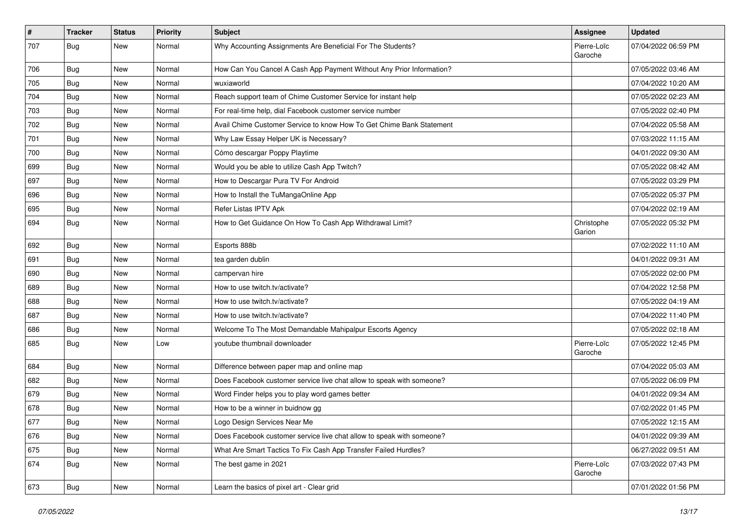| $\vert$ # | <b>Tracker</b>   | <b>Status</b> | <b>Priority</b> | Subject                                                               | Assignee               | <b>Updated</b>      |
|-----------|------------------|---------------|-----------------|-----------------------------------------------------------------------|------------------------|---------------------|
| 707       | <b>Bug</b>       | New           | Normal          | Why Accounting Assignments Are Beneficial For The Students?           | Pierre-Loïc<br>Garoche | 07/04/2022 06:59 PM |
| 706       | <b>Bug</b>       | New           | Normal          | How Can You Cancel A Cash App Payment Without Any Prior Information?  |                        | 07/05/2022 03:46 AM |
| 705       | Bug              | New           | Normal          | wuxiaworld                                                            |                        | 07/04/2022 10:20 AM |
| 704       | Bug              | <b>New</b>    | Normal          | Reach support team of Chime Customer Service for instant help         |                        | 07/05/2022 02:23 AM |
| 703       | Bug              | New           | Normal          | For real-time help, dial Facebook customer service number             |                        | 07/05/2022 02:40 PM |
| 702       | Bug              | New           | Normal          | Avail Chime Customer Service to know How To Get Chime Bank Statement  |                        | 07/04/2022 05:58 AM |
| 701       | <b>Bug</b>       | New           | Normal          | Why Law Essay Helper UK is Necessary?                                 |                        | 07/03/2022 11:15 AM |
| 700       | <b>Bug</b>       | New           | Normal          | Cómo descargar Poppy Playtime                                         |                        | 04/01/2022 09:30 AM |
| 699       | <b>Bug</b>       | <b>New</b>    | Normal          | Would you be able to utilize Cash App Twitch?                         |                        | 07/05/2022 08:42 AM |
| 697       | Bug              | New           | Normal          | How to Descargar Pura TV For Android                                  |                        | 07/05/2022 03:29 PM |
| 696       | Bug              | New           | Normal          | How to Install the TuMangaOnline App                                  |                        | 07/05/2022 05:37 PM |
| 695       | Bug              | New           | Normal          | Refer Listas IPTV Apk                                                 |                        | 07/04/2022 02:19 AM |
| 694       | Bug              | New           | Normal          | How to Get Guidance On How To Cash App Withdrawal Limit?              | Christophe<br>Garion   | 07/05/2022 05:32 PM |
| 692       | Bug              | New           | Normal          | Esports 888b                                                          |                        | 07/02/2022 11:10 AM |
| 691       | Bug              | New           | Normal          | tea garden dublin                                                     |                        | 04/01/2022 09:31 AM |
| 690       | Bug              | <b>New</b>    | Normal          | campervan hire                                                        |                        | 07/05/2022 02:00 PM |
| 689       | Bug              | New           | Normal          | How to use twitch.tv/activate?                                        |                        | 07/04/2022 12:58 PM |
| 688       | Bug              | New           | Normal          | How to use twitch.tv/activate?                                        |                        | 07/05/2022 04:19 AM |
| 687       | Bug              | New           | Normal          | How to use twitch.tv/activate?                                        |                        | 07/04/2022 11:40 PM |
| 686       | Bug              | New           | Normal          | Welcome To The Most Demandable Mahipalpur Escorts Agency              |                        | 07/05/2022 02:18 AM |
| 685       | Bug              | <b>New</b>    | Low             | youtube thumbnail downloader                                          | Pierre-Loïc<br>Garoche | 07/05/2022 12:45 PM |
| 684       | Bug              | <b>New</b>    | Normal          | Difference between paper map and online map                           |                        | 07/04/2022 05:03 AM |
| 682       | Bug              | New           | Normal          | Does Facebook customer service live chat allow to speak with someone? |                        | 07/05/2022 06:09 PM |
| 679       | Bug              | New           | Normal          | Word Finder helps you to play word games better                       |                        | 04/01/2022 09:34 AM |
| 678       | <b>Bug</b>       | New           | Normal          | How to be a winner in buidnow gg                                      |                        | 07/02/2022 01:45 PM |
| 677       | <sub>I</sub> Bug | New           | Normal          | Logo Design Services Near Me                                          |                        | 07/05/2022 12:15 AM |
| 676       | <b>Bug</b>       | New           | Normal          | Does Facebook customer service live chat allow to speak with someone? |                        | 04/01/2022 09:39 AM |
| 675       | Bug              | New           | Normal          | What Are Smart Tactics To Fix Cash App Transfer Failed Hurdles?       |                        | 06/27/2022 09:51 AM |
| 674       | <b>Bug</b>       | New           | Normal          | The best game in 2021                                                 | Pierre-Loïc<br>Garoche | 07/03/2022 07:43 PM |
| 673       | <b>Bug</b>       | New           | Normal          | Learn the basics of pixel art - Clear grid                            |                        | 07/01/2022 01:56 PM |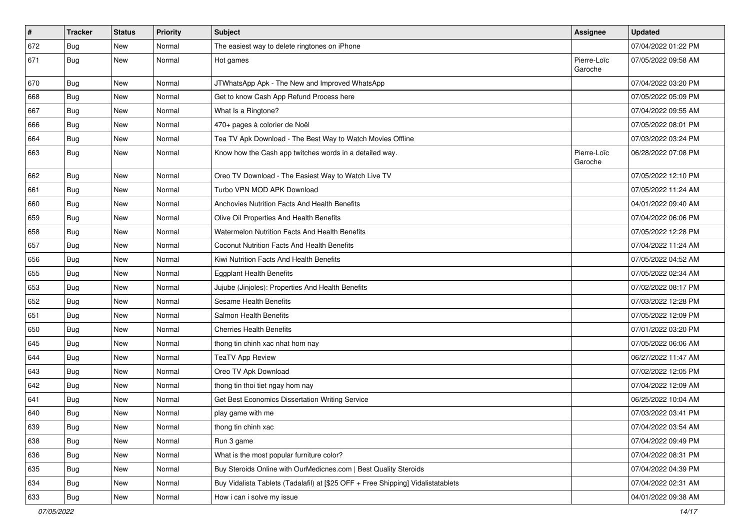| $\sharp$ | <b>Tracker</b> | <b>Status</b> | <b>Priority</b> | <b>Subject</b>                                                                   | <b>Assignee</b>        | <b>Updated</b>      |
|----------|----------------|---------------|-----------------|----------------------------------------------------------------------------------|------------------------|---------------------|
| 672      | <b>Bug</b>     | New           | Normal          | The easiest way to delete ringtones on iPhone                                    |                        | 07/04/2022 01:22 PM |
| 671      | Bug            | New           | Normal          | Hot games                                                                        | Pierre-Loïc<br>Garoche | 07/05/2022 09:58 AM |
| 670      | Bug            | New           | Normal          | JTWhatsApp Apk - The New and Improved WhatsApp                                   |                        | 07/04/2022 03:20 PM |
| 668      | Bug            | <b>New</b>    | Normal          | Get to know Cash App Refund Process here                                         |                        | 07/05/2022 05:09 PM |
| 667      | <b>Bug</b>     | New           | Normal          | What Is a Ringtone?                                                              |                        | 07/04/2022 09:55 AM |
| 666      | Bug            | New           | Normal          | 470+ pages à colorier de Noël                                                    |                        | 07/05/2022 08:01 PM |
| 664      | Bug            | New           | Normal          | Tea TV Apk Download - The Best Way to Watch Movies Offline                       |                        | 07/03/2022 03:24 PM |
| 663      | Bug            | New           | Normal          | Know how the Cash app twitches words in a detailed way.                          | Pierre-Loïc<br>Garoche | 06/28/2022 07:08 PM |
| 662      | <b>Bug</b>     | New           | Normal          | Oreo TV Download - The Easiest Way to Watch Live TV                              |                        | 07/05/2022 12:10 PM |
| 661      | <b>Bug</b>     | <b>New</b>    | Normal          | Turbo VPN MOD APK Download                                                       |                        | 07/05/2022 11:24 AM |
| 660      | Bug            | New           | Normal          | Anchovies Nutrition Facts And Health Benefits                                    |                        | 04/01/2022 09:40 AM |
| 659      | <b>Bug</b>     | <b>New</b>    | Normal          | Olive Oil Properties And Health Benefits                                         |                        | 07/04/2022 06:06 PM |
| 658      | Bug            | New           | Normal          | Watermelon Nutrition Facts And Health Benefits                                   |                        | 07/05/2022 12:28 PM |
| 657      | Bug            | New           | Normal          | Coconut Nutrition Facts And Health Benefits                                      |                        | 07/04/2022 11:24 AM |
| 656      | <b>Bug</b>     | New           | Normal          | Kiwi Nutrition Facts And Health Benefits                                         |                        | 07/05/2022 04:52 AM |
| 655      | Bug            | New           | Normal          | <b>Eggplant Health Benefits</b>                                                  |                        | 07/05/2022 02:34 AM |
| 653      | Bug            | New           | Normal          | Jujube (Jinjoles): Properties And Health Benefits                                |                        | 07/02/2022 08:17 PM |
| 652      | <b>Bug</b>     | New           | Normal          | Sesame Health Benefits                                                           |                        | 07/03/2022 12:28 PM |
| 651      | Bug            | New           | Normal          | Salmon Health Benefits                                                           |                        | 07/05/2022 12:09 PM |
| 650      | Bug            | New           | Normal          | <b>Cherries Health Benefits</b>                                                  |                        | 07/01/2022 03:20 PM |
| 645      | <b>Bug</b>     | <b>New</b>    | Normal          | thong tin chinh xac nhat hom nay                                                 |                        | 07/05/2022 06:06 AM |
| 644      | Bug            | New           | Normal          | <b>TeaTV App Review</b>                                                          |                        | 06/27/2022 11:47 AM |
| 643      | <b>Bug</b>     | New           | Normal          | Oreo TV Apk Download                                                             |                        | 07/02/2022 12:05 PM |
| 642      | Bug            | New           | Normal          | thong tin thoi tiet ngay hom nay                                                 |                        | 07/04/2022 12:09 AM |
| 641      | <b>Bug</b>     | New           | Normal          | Get Best Economics Dissertation Writing Service                                  |                        | 06/25/2022 10:04 AM |
| 640      | Bug            | New           | Normal          | play game with me                                                                |                        | 07/03/2022 03:41 PM |
| 639      | Bug            | New           | Normal          | thong tin chinh xac                                                              |                        | 07/04/2022 03:54 AM |
| 638      | Bug            | New           | Normal          | Run 3 game                                                                       |                        | 07/04/2022 09:49 PM |
| 636      | Bug            | New           | Normal          | What is the most popular furniture color?                                        |                        | 07/04/2022 08:31 PM |
| 635      | <b>Bug</b>     | New           | Normal          | Buy Steroids Online with OurMedicnes.com   Best Quality Steroids                 |                        | 07/04/2022 04:39 PM |
| 634      | <b>Bug</b>     | New           | Normal          | Buy Vidalista Tablets (Tadalafil) at [\$25 OFF + Free Shipping] Vidalistatablets |                        | 07/04/2022 02:31 AM |
| 633      | <b>Bug</b>     | New           | Normal          | How i can i solve my issue                                                       |                        | 04/01/2022 09:38 AM |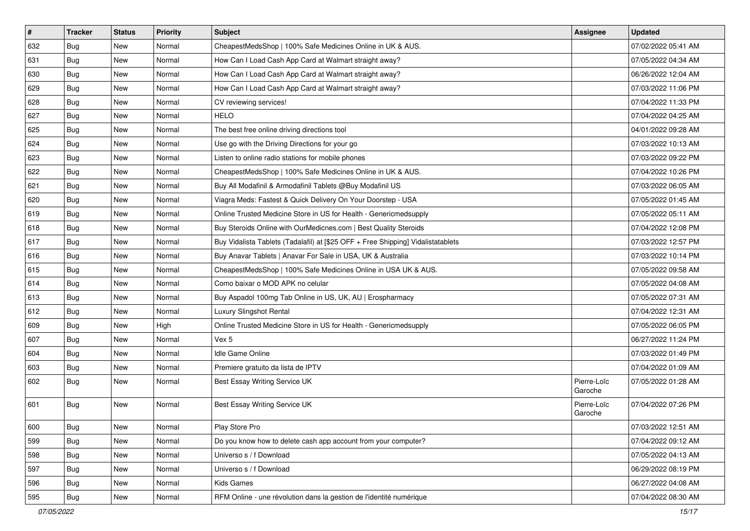| $\vert$ # | <b>Tracker</b> | <b>Status</b> | Priority | Subject                                                                          | Assignee               | <b>Updated</b>      |
|-----------|----------------|---------------|----------|----------------------------------------------------------------------------------|------------------------|---------------------|
| 632       | <b>Bug</b>     | New           | Normal   | CheapestMedsShop   100% Safe Medicines Online in UK & AUS.                       |                        | 07/02/2022 05:41 AM |
| 631       | <b>Bug</b>     | New           | Normal   | How Can I Load Cash App Card at Walmart straight away?                           |                        | 07/05/2022 04:34 AM |
| 630       | <b>Bug</b>     | New           | Normal   | How Can I Load Cash App Card at Walmart straight away?                           |                        | 06/26/2022 12:04 AM |
| 629       | <b>Bug</b>     | New           | Normal   | How Can I Load Cash App Card at Walmart straight away?                           |                        | 07/03/2022 11:06 PM |
| 628       | Bug            | New           | Normal   | CV reviewing services!                                                           |                        | 07/04/2022 11:33 PM |
| 627       | <b>Bug</b>     | New           | Normal   | <b>HELO</b>                                                                      |                        | 07/04/2022 04:25 AM |
| 625       | Bug            | New           | Normal   | The best free online driving directions tool                                     |                        | 04/01/2022 09:28 AM |
| 624       | <b>Bug</b>     | New           | Normal   | Use go with the Driving Directions for your go                                   |                        | 07/03/2022 10:13 AM |
| 623       | <b>Bug</b>     | New           | Normal   | Listen to online radio stations for mobile phones                                |                        | 07/03/2022 09:22 PM |
| 622       | Bug            | New           | Normal   | CheapestMedsShop   100% Safe Medicines Online in UK & AUS.                       |                        | 07/04/2022 10:26 PM |
| 621       | <b>Bug</b>     | New           | Normal   | Buy All Modafinil & Armodafinil Tablets @Buy Modafinil US                        |                        | 07/03/2022 06:05 AM |
| 620       | <b>Bug</b>     | New           | Normal   | Viagra Meds: Fastest & Quick Delivery On Your Doorstep - USA                     |                        | 07/05/2022 01:45 AM |
| 619       | Bug            | <b>New</b>    | Normal   | Online Trusted Medicine Store in US for Health - Genericmedsupply                |                        | 07/05/2022 05:11 AM |
| 618       | <b>Bug</b>     | New           | Normal   | Buy Steroids Online with OurMedicnes.com   Best Quality Steroids                 |                        | 07/04/2022 12:08 PM |
| 617       | Bug            | New           | Normal   | Buy Vidalista Tablets (Tadalafil) at [\$25 OFF + Free Shipping] Vidalistatablets |                        | 07/03/2022 12:57 PM |
| 616       | Bug            | New           | Normal   | Buy Anavar Tablets   Anavar For Sale in USA, UK & Australia                      |                        | 07/03/2022 10:14 PM |
| 615       | <b>Bug</b>     | New           | Normal   | CheapestMedsShop   100% Safe Medicines Online in USA UK & AUS.                   |                        | 07/05/2022 09:58 AM |
| 614       | Bug            | New           | Normal   | Como baixar o MOD APK no celular                                                 |                        | 07/05/2022 04:08 AM |
| 613       | Bug            | New           | Normal   | Buy Aspadol 100mg Tab Online in US, UK, AU   Erospharmacy                        |                        | 07/05/2022 07:31 AM |
| 612       | <b>Bug</b>     | <b>New</b>    | Normal   | Luxury Slingshot Rental                                                          |                        | 07/04/2022 12:31 AM |
| 609       | <b>Bug</b>     | New           | High     | Online Trusted Medicine Store in US for Health - Genericmedsupply                |                        | 07/05/2022 06:05 PM |
| 607       | <b>Bug</b>     | New           | Normal   | Vex 5                                                                            |                        | 06/27/2022 11:24 PM |
| 604       | Bug            | New           | Normal   | Idle Game Online                                                                 |                        | 07/03/2022 01:49 PM |
| 603       | <b>Bug</b>     | New           | Normal   | Premiere gratuito da lista de IPTV                                               |                        | 07/04/2022 01:09 AM |
| 602       | Bug            | New           | Normal   | Best Essay Writing Service UK                                                    | Pierre-Loïc<br>Garoche | 07/05/2022 01:28 AM |
| 601       | Bug            | New           | Normal   | Best Essay Writing Service UK                                                    | Pierre-Loïc<br>Garoche | 07/04/2022 07:26 PM |
| 600       | Bug            | New           | Normal   | Play Store Pro                                                                   |                        | 07/03/2022 12:51 AM |
| 599       | Bug            | New           | Normal   | Do you know how to delete cash app account from your computer?                   |                        | 07/04/2022 09:12 AM |
| 598       | Bug            | New           | Normal   | Universo s / f Download                                                          |                        | 07/05/2022 04:13 AM |
| 597       | <b>Bug</b>     | New           | Normal   | Universo s / f Download                                                          |                        | 06/29/2022 08:19 PM |
| 596       | <b>Bug</b>     | New           | Normal   | Kids Games                                                                       |                        | 06/27/2022 04:08 AM |
| 595       | <b>Bug</b>     | New           | Normal   | RFM Online - une révolution dans la gestion de l'identité numérique              |                        | 07/04/2022 08:30 AM |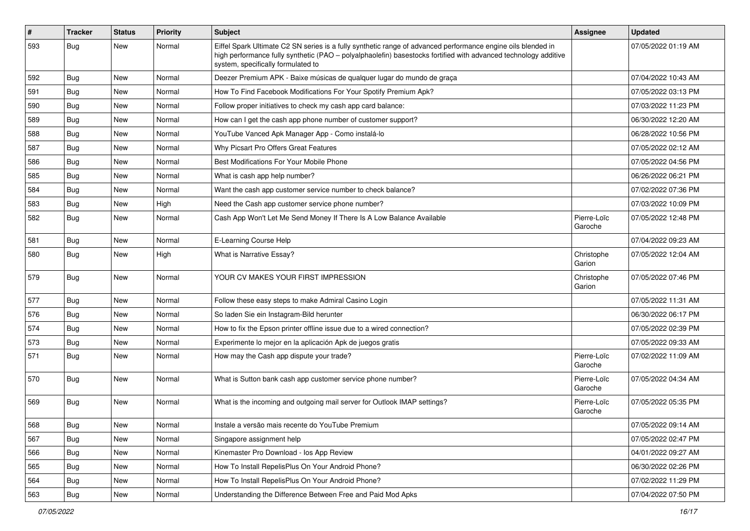| #   | <b>Tracker</b> | <b>Status</b> | <b>Priority</b> | Subject                                                                                                                                                                                                                                                               | Assignee               | <b>Updated</b>      |
|-----|----------------|---------------|-----------------|-----------------------------------------------------------------------------------------------------------------------------------------------------------------------------------------------------------------------------------------------------------------------|------------------------|---------------------|
| 593 | <b>Bug</b>     | New           | Normal          | Eiffel Spark Ultimate C2 SN series is a fully synthetic range of advanced performance engine oils blended in<br>high performance fully synthetic (PAO - polyalphaolefin) basestocks fortified with advanced technology additive<br>system, specifically formulated to |                        | 07/05/2022 01:19 AM |
| 592 | Bug            | New           | Normal          | Deezer Premium APK - Baixe músicas de qualquer lugar do mundo de graça                                                                                                                                                                                                |                        | 07/04/2022 10:43 AM |
| 591 | Bug            | New           | Normal          | How To Find Facebook Modifications For Your Spotify Premium Apk?                                                                                                                                                                                                      |                        | 07/05/2022 03:13 PM |
| 590 | Bug            | New           | Normal          | Follow proper initiatives to check my cash app card balance:                                                                                                                                                                                                          |                        | 07/03/2022 11:23 PM |
| 589 | Bug            | New           | Normal          | How can I get the cash app phone number of customer support?                                                                                                                                                                                                          |                        | 06/30/2022 12:20 AM |
| 588 | Bug            | New           | Normal          | YouTube Vanced Apk Manager App - Como instalá-lo                                                                                                                                                                                                                      |                        | 06/28/2022 10:56 PM |
| 587 | Bug            | New           | Normal          | Why Picsart Pro Offers Great Features                                                                                                                                                                                                                                 |                        | 07/05/2022 02:12 AM |
| 586 | Bug            | New           | Normal          | Best Modifications For Your Mobile Phone                                                                                                                                                                                                                              |                        | 07/05/2022 04:56 PM |
| 585 | Bug            | New           | Normal          | What is cash app help number?                                                                                                                                                                                                                                         |                        | 06/26/2022 06:21 PM |
| 584 | Bug            | New           | Normal          | Want the cash app customer service number to check balance?                                                                                                                                                                                                           |                        | 07/02/2022 07:36 PM |
| 583 | Bug            | <b>New</b>    | High            | Need the Cash app customer service phone number?                                                                                                                                                                                                                      |                        | 07/03/2022 10:09 PM |
| 582 | <b>Bug</b>     | New           | Normal          | Cash App Won't Let Me Send Money If There Is A Low Balance Available                                                                                                                                                                                                  | Pierre-Loïc<br>Garoche | 07/05/2022 12:48 PM |
| 581 | Bug            | <b>New</b>    | Normal          | E-Learning Course Help                                                                                                                                                                                                                                                |                        | 07/04/2022 09:23 AM |
| 580 | <b>Bug</b>     | New           | High            | What is Narrative Essay?                                                                                                                                                                                                                                              | Christophe<br>Garion   | 07/05/2022 12:04 AM |
| 579 | Bug            | New           | Normal          | YOUR CV MAKES YOUR FIRST IMPRESSION                                                                                                                                                                                                                                   | Christophe<br>Garion   | 07/05/2022 07:46 PM |
| 577 | Bug            | <b>New</b>    | Normal          | Follow these easy steps to make Admiral Casino Login                                                                                                                                                                                                                  |                        | 07/05/2022 11:31 AM |
| 576 | <b>Bug</b>     | New           | Normal          | So laden Sie ein Instagram-Bild herunter                                                                                                                                                                                                                              |                        | 06/30/2022 06:17 PM |
| 574 | Bug            | New           | Normal          | How to fix the Epson printer offline issue due to a wired connection?                                                                                                                                                                                                 |                        | 07/05/2022 02:39 PM |
| 573 | Bug            | <b>New</b>    | Normal          | Experimente lo mejor en la aplicación Apk de juegos gratis                                                                                                                                                                                                            |                        | 07/05/2022 09:33 AM |
| 571 | <b>Bug</b>     | New           | Normal          | How may the Cash app dispute your trade?                                                                                                                                                                                                                              | Pierre-Loïc<br>Garoche | 07/02/2022 11:09 AM |
| 570 | Bug            | New           | Normal          | What is Sutton bank cash app customer service phone number?                                                                                                                                                                                                           | Pierre-Loïc<br>Garoche | 07/05/2022 04:34 AM |
| 569 | Bug            | <b>New</b>    | Normal          | What is the incoming and outgoing mail server for Outlook IMAP settings?                                                                                                                                                                                              | Pierre-Loïc<br>Garoche | 07/05/2022 05:35 PM |
| 568 | <b>Bug</b>     | New           | Normal          | Instale a versão mais recente do YouTube Premium                                                                                                                                                                                                                      |                        | 07/05/2022 09:14 AM |
| 567 | Bug            | <b>New</b>    | Normal          | Singapore assignment help                                                                                                                                                                                                                                             |                        | 07/05/2022 02:47 PM |
| 566 | Bug            | New           | Normal          | Kinemaster Pro Download - los App Review                                                                                                                                                                                                                              |                        | 04/01/2022 09:27 AM |
| 565 | <b>Bug</b>     | New           | Normal          | How To Install RepelisPlus On Your Android Phone?                                                                                                                                                                                                                     |                        | 06/30/2022 02:26 PM |
| 564 | <b>Bug</b>     | New           | Normal          | How To Install RepelisPlus On Your Android Phone?                                                                                                                                                                                                                     |                        | 07/02/2022 11:29 PM |
| 563 | <b>Bug</b>     | New           | Normal          | Understanding the Difference Between Free and Paid Mod Apks                                                                                                                                                                                                           |                        | 07/04/2022 07:50 PM |